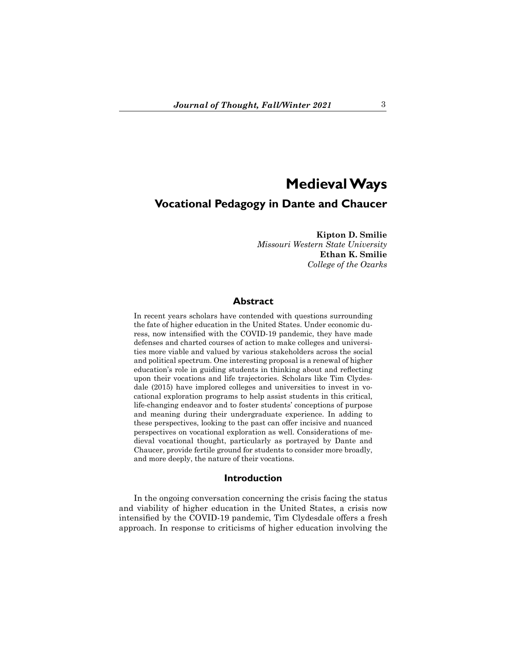# **Medieval Ways Vocational Pedagogy in Dante and Chaucer**

**Kipton D. Smilie** *Missouri Western State University* **Ethan K. Smilie** *College of the Ozarks*

## **Abstract**

In recent years scholars have contended with questions surrounding the fate of higher education in the United States. Under economic duress, now intensified with the COVID-19 pandemic, they have made defenses and charted courses of action to make colleges and universities more viable and valued by various stakeholders across the social and political spectrum. One interesting proposal is a renewal of higher education's role in guiding students in thinking about and reflecting upon their vocations and life trajectories. Scholars like Tim Clydesdale (2015) have implored colleges and universities to invest in vocational exploration programs to help assist students in this critical, life-changing endeavor and to foster students' conceptions of purpose and meaning during their undergraduate experience. In adding to these perspectives, looking to the past can offer incisive and nuanced perspectives on vocational exploration as well. Considerations of medieval vocational thought, particularly as portrayed by Dante and Chaucer, provide fertile ground for students to consider more broadly, and more deeply, the nature of their vocations.

#### **Introduction**

In the ongoing conversation concerning the crisis facing the status and viability of higher education in the United States, a crisis now intensified by the COVID-19 pandemic, Tim Clydesdale offers a fresh approach. In response to criticisms of higher education involving the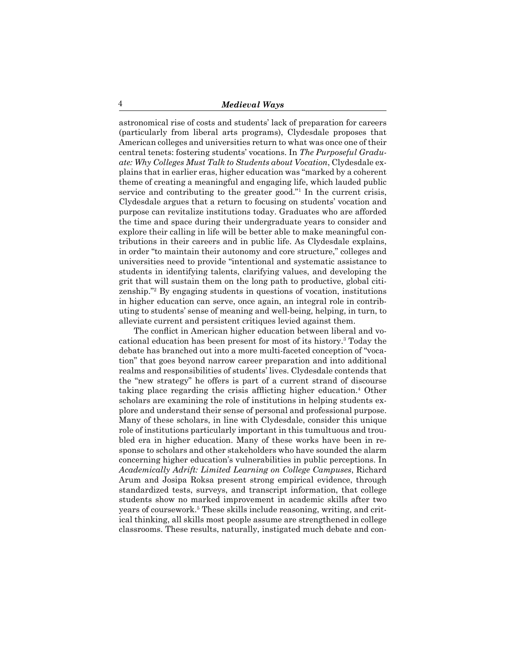astronomical rise of costs and students' lack of preparation for careers (particularly from liberal arts programs), Clydesdale proposes that American colleges and universities return to what was once one of their central tenets: fostering students' vocations. In *The Purposeful Graduate: Why Colleges Must Talk to Students about Vocation*, Clydesdale explains that in earlier eras, higher education was "marked by a coherent theme of creating a meaningful and engaging life, which lauded public service and contributing to the greater good."<sup>1</sup> In the current crisis, Clydesdale argues that a return to focusing on students' vocation and purpose can revitalize institutions today. Graduates who are afforded the time and space during their undergraduate years to consider and explore their calling in life will be better able to make meaningful contributions in their careers and in public life. As Clydesdale explains, in order "to maintain their autonomy and core structure," colleges and universities need to provide "intentional and systematic assistance to students in identifying talents, clarifying values, and developing the grit that will sustain them on the long path to productive, global citizenship."<sup>2</sup> By engaging students in questions of vocation, institutions in higher education can serve, once again, an integral role in contributing to students' sense of meaning and well-being, helping, in turn, to alleviate current and persistent critiques levied against them.

The conflict in American higher education between liberal and vocational education has been present for most of its history.<sup>3</sup> Today the debate has branched out into a more multi-faceted conception of "vocation" that goes beyond narrow career preparation and into additional realms and responsibilities of students' lives. Clydesdale contends that the "new strategy" he offers is part of a current strand of discourse taking place regarding the crisis afflicting higher education.<sup>4</sup> Other scholars are examining the role of institutions in helping students explore and understand their sense of personal and professional purpose. Many of these scholars, in line with Clydesdale, consider this unique role of institutions particularly important in this tumultuous and troubled era in higher education. Many of these works have been in response to scholars and other stakeholders who have sounded the alarm concerning higher education's vulnerabilities in public perceptions. In *Academically Adrift: Limited Learning on College Campuses*, Richard Arum and Josipa Roksa present strong empirical evidence, through standardized tests, surveys, and transcript information, that college students show no marked improvement in academic skills after two years of coursework.<sup>5</sup> These skills include reasoning, writing, and critical thinking, all skills most people assume are strengthened in college classrooms. These results, naturally, instigated much debate and con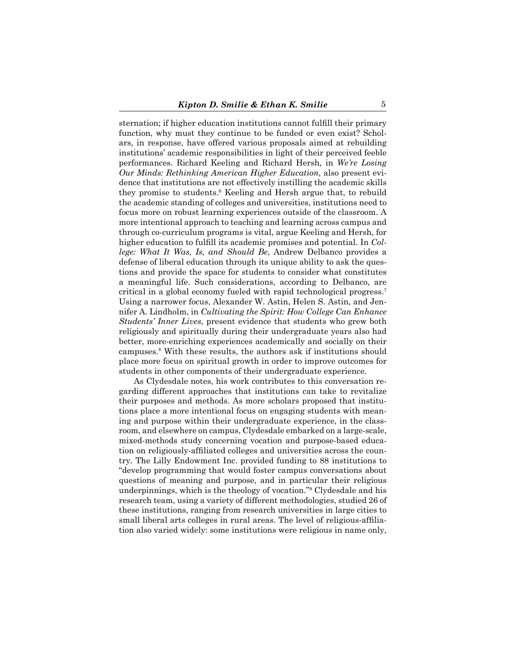sternation; if higher education institutions cannot fulfill their primary function, why must they continue to be funded or even exist? Scholars, in response, have offered various proposals aimed at rebuilding institutions' academic responsibilities in light of their perceived feeble performances. Richard Keeling and Richard Hersh, in *We're Losing Our Minds: Rethinking American Higher Education*, also present evidence that institutions are not effectively instilling the academic skills they promise to students.<sup>6</sup> Keeling and Hersh argue that, to rebuild the academic standing of colleges and universities, institutions need to focus more on robust learning experiences outside of the classroom. A more intentional approach to teaching and learning across campus and through co-curriculum programs is vital, argue Keeling and Hersh, for higher education to fulfill its academic promises and potential. In *College: What It Was, Is, and Should Be*, Andrew Delbanco provides a defense of liberal education through its unique ability to ask the questions and provide the space for students to consider what constitutes a meaningful life. Such considerations, according to Delbanco, are critical in a global economy fueled with rapid technological progress.<sup>7</sup> Using a narrower focus, Alexander W. Astin, Helen S. Astin, and Jennifer A. Lindholm, in *Cultivating the Spirit: How College Can Enhance Students' Inner Lives*, present evidence that students who grew both religiously and spiritually during their undergraduate years also had better, more-enriching experiences academically and socially on their campuses.<sup>8</sup> With these results, the authors ask if institutions should place more focus on spiritual growth in order to improve outcomes for students in other components of their undergraduate experience.

As Clydesdale notes, his work contributes to this conversation regarding different approaches that institutions can take to revitalize their purposes and methods. As more scholars proposed that institutions place a more intentional focus on engaging students with meaning and purpose within their undergraduate experience, in the classroom, and elsewhere on campus, Clydesdale embarked on a large-scale, mixed-methods study concerning vocation and purpose-based education on religiously-affiliated colleges and universities across the country. The Lilly Endowment Inc. provided funding to 88 institutions to "develop programming that would foster campus conversations about questions of meaning and purpose, and in particular their religious underpinnings, which is the theology of vocation."9 Clydesdale and his research team, using a variety of different methodologies, studied 26 of these institutions, ranging from research universities in large cities to small liberal arts colleges in rural areas. The level of religious-affiliation also varied widely: some institutions were religious in name only,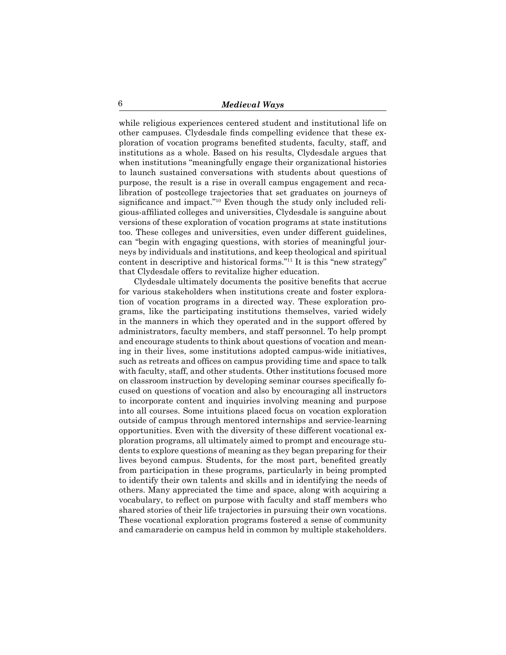while religious experiences centered student and institutional life on other campuses. Clydesdale finds compelling evidence that these exploration of vocation programs benefited students, faculty, staff, and institutions as a whole. Based on his results, Clydesdale argues that when institutions "meaningfully engage their organizational histories to launch sustained conversations with students about questions of purpose, the result is a rise in overall campus engagement and recalibration of postcollege trajectories that set graduates on journeys of significance and impact."<sup>10</sup> Even though the study only included religious-affiliated colleges and universities, Clydesdale is sanguine about versions of these exploration of vocation programs at state institutions too. These colleges and universities, even under different guidelines, can "begin with engaging questions, with stories of meaningful journeys by individuals and institutions, and keep theological and spiritual content in descriptive and historical forms."11 It is this "new strategy" that Clydesdale offers to revitalize higher education.

Clydesdale ultimately documents the positive benefits that accrue for various stakeholders when institutions create and foster exploration of vocation programs in a directed way. These exploration programs, like the participating institutions themselves, varied widely in the manners in which they operated and in the support offered by administrators, faculty members, and staff personnel. To help prompt and encourage students to think about questions of vocation and meaning in their lives, some institutions adopted campus-wide initiatives, such as retreats and offices on campus providing time and space to talk with faculty, staff, and other students. Other institutions focused more on classroom instruction by developing seminar courses specifically focused on questions of vocation and also by encouraging all instructors to incorporate content and inquiries involving meaning and purpose into all courses. Some intuitions placed focus on vocation exploration outside of campus through mentored internships and service-learning opportunities. Even with the diversity of these different vocational exploration programs, all ultimately aimed to prompt and encourage students to explore questions of meaning as they began preparing for their lives beyond campus. Students, for the most part, benefited greatly from participation in these programs, particularly in being prompted to identify their own talents and skills and in identifying the needs of others. Many appreciated the time and space, along with acquiring a vocabulary, to reflect on purpose with faculty and staff members who shared stories of their life trajectories in pursuing their own vocations. These vocational exploration programs fostered a sense of community and camaraderie on campus held in common by multiple stakeholders.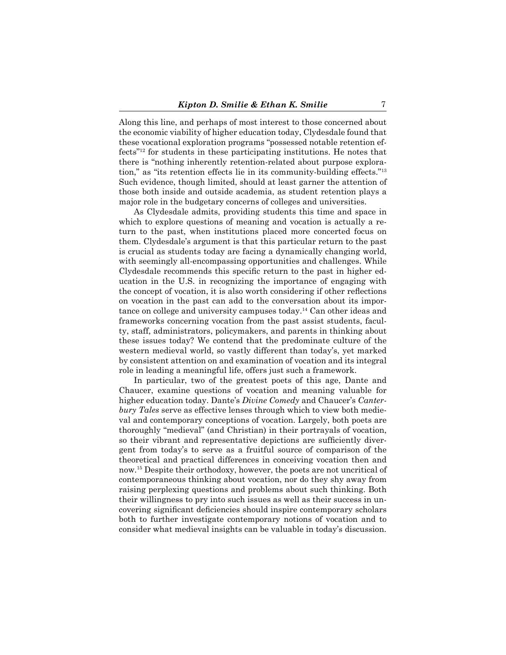Along this line, and perhaps of most interest to those concerned about the economic viability of higher education today, Clydesdale found that these vocational exploration programs "possessed notable retention effects"12 for students in these participating institutions. He notes that there is "nothing inherently retention-related about purpose exploration," as "its retention effects lie in its community-building effects."13 Such evidence, though limited, should at least garner the attention of those both inside and outside academia, as student retention plays a major role in the budgetary concerns of colleges and universities.

As Clydesdale admits, providing students this time and space in which to explore questions of meaning and vocation is actually a return to the past, when institutions placed more concerted focus on them. Clydesdale's argument is that this particular return to the past is crucial as students today are facing a dynamically changing world, with seemingly all-encompassing opportunities and challenges. While Clydesdale recommends this specific return to the past in higher education in the U.S. in recognizing the importance of engaging with the concept of vocation, it is also worth considering if other reflections on vocation in the past can add to the conversation about its importance on college and university campuses today.14 Can other ideas and frameworks concerning vocation from the past assist students, faculty, staff, administrators, policymakers, and parents in thinking about these issues today? We contend that the predominate culture of the western medieval world, so vastly different than today's, yet marked by consistent attention on and examination of vocation and its integral role in leading a meaningful life, offers just such a framework.

In particular, two of the greatest poets of this age, Dante and Chaucer, examine questions of vocation and meaning valuable for higher education today. Dante's *Divine Comedy* and Chaucer's *Canterbury Tales* serve as effective lenses through which to view both medieval and contemporary conceptions of vocation. Largely, both poets are thoroughly "medieval" (and Christian) in their portrayals of vocation, so their vibrant and representative depictions are sufficiently divergent from today's to serve as a fruitful source of comparison of the theoretical and practical differences in conceiving vocation then and now.15 Despite their orthodoxy, however, the poets are not uncritical of contemporaneous thinking about vocation, nor do they shy away from raising perplexing questions and problems about such thinking. Both their willingness to pry into such issues as well as their success in uncovering significant deficiencies should inspire contemporary scholars both to further investigate contemporary notions of vocation and to consider what medieval insights can be valuable in today's discussion.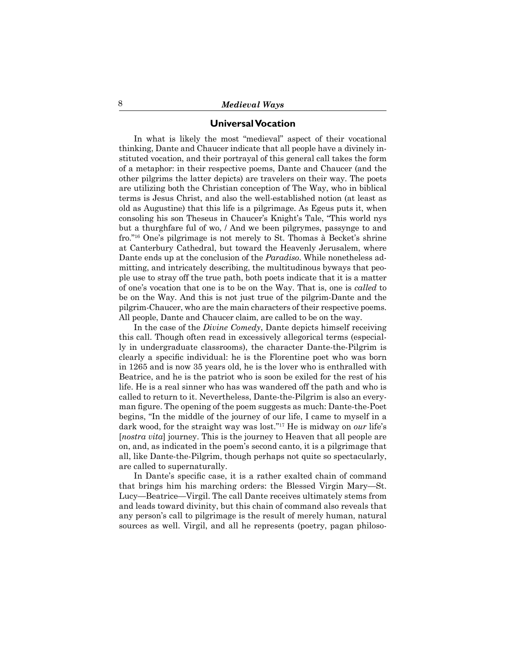## **Universal Vocation**

In what is likely the most "medieval" aspect of their vocational thinking, Dante and Chaucer indicate that all people have a divinely instituted vocation, and their portrayal of this general call takes the form of a metaphor: in their respective poems, Dante and Chaucer (and the other pilgrims the latter depicts) are travelers on their way. The poets are utilizing both the Christian conception of The Way, who in biblical terms is Jesus Christ, and also the well-established notion (at least as old as Augustine) that this life is a pilgrimage. As Egeus puts it, when consoling his son Theseus in Chaucer's Knight's Tale, "This world nys but a thurghfare ful of wo, / And we been pilgrymes, passynge to and fro."16 One's pilgrimage is not merely to St. Thomas à Becket's shrine at Canterbury Cathedral, but toward the Heavenly Jerusalem, where Dante ends up at the conclusion of the *Paradiso*. While nonetheless admitting, and intricately describing, the multitudinous byways that people use to stray off the true path, both poets indicate that it is a matter of one's vocation that one is to be on the Way. That is, one is *called* to be on the Way. And this is not just true of the pilgrim-Dante and the pilgrim-Chaucer, who are the main characters of their respective poems. All people, Dante and Chaucer claim, are called to be on the way.

In the case of the *Divine Comedy*, Dante depicts himself receiving this call. Though often read in excessively allegorical terms (especially in undergraduate classrooms), the character Dante-the-Pilgrim is clearly a specific individual: he is the Florentine poet who was born in 1265 and is now 35 years old, he is the lover who is enthralled with Beatrice, and he is the patriot who is soon be exiled for the rest of his life. He is a real sinner who has was wandered off the path and who is called to return to it. Nevertheless, Dante-the-Pilgrim is also an everyman figure. The opening of the poem suggests as much: Dante-the-Poet begins, "In the middle of the journey of our life, I came to myself in a dark wood, for the straight way was lost."17 He is midway on *our* life's [*nostra vita*] journey. This is the journey to Heaven that all people are on, and, as indicated in the poem's second canto, it is a pilgrimage that all, like Dante-the-Pilgrim, though perhaps not quite so spectacularly, are called to supernaturally.

In Dante's specific case, it is a rather exalted chain of command that brings him his marching orders: the Blessed Virgin Mary—St. Lucy—Beatrice—Virgil. The call Dante receives ultimately stems from and leads toward divinity, but this chain of command also reveals that any person's call to pilgrimage is the result of merely human, natural sources as well. Virgil, and all he represents (poetry, pagan philoso-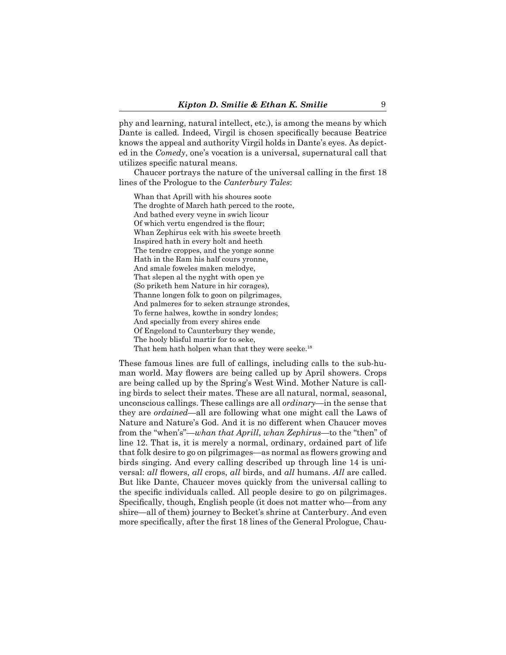phy and learning, natural intellect, etc.), is among the means by which Dante is called. Indeed, Virgil is chosen specifically because Beatrice knows the appeal and authority Virgil holds in Dante's eyes. As depicted in the *Comedy*, one's vocation is a universal, supernatural call that utilizes specific natural means.

Chaucer portrays the nature of the universal calling in the first 18 lines of the Prologue to the *Canterbury Tales*:

Whan that Aprill with his shoures soote The droghte of March hath perced to the roote, And bathed every veyne in swich licour Of which vertu engendred is the flour; Whan Zephirus eek with his sweete breeth Inspired hath in every holt and heeth The tendre croppes, and the yonge sonne Hath in the Ram his half cours yronne, And smale foweles maken melodye, That slepen al the nyght with open ye (So priketh hem Nature in hir corages), Thanne longen folk to goon on pilgrimages, And palmeres for to seken straunge strondes, To ferne halwes, kowthe in sondry londes; And specially from every shires ende Of Engelond to Caunterbury they wende, The hooly blisful martir for to seke, That hem hath holpen whan that they were seeke.<sup>18</sup>

These famous lines are full of callings, including calls to the sub-human world. May flowers are being called up by April showers. Crops are being called up by the Spring's West Wind. Mother Nature is calling birds to select their mates. These are all natural, normal, seasonal, unconscious callings. These callings are all *ordinary*—in the sense that they are *ordained*—all are following what one might call the Laws of Nature and Nature's God. And it is no different when Chaucer moves from the "when's"—*whan that Aprill*, *whan Zephirus*—to the "then" of line 12. That is, it is merely a normal, ordinary, ordained part of life that folk desire to go on pilgrimages—as normal as flowers growing and birds singing. And every calling described up through line 14 is universal: *all* flowers, *all* crops, *all* birds, and *all* humans. All are called. But like Dante, Chaucer moves quickly from the universal calling to the specific individuals called. All people desire to go on pilgrimages. Specifically, though, English people (it does not matter who—from any shire—all of them) journey to Becket's shrine at Canterbury. And even more specifically, after the first 18 lines of the General Prologue, Chau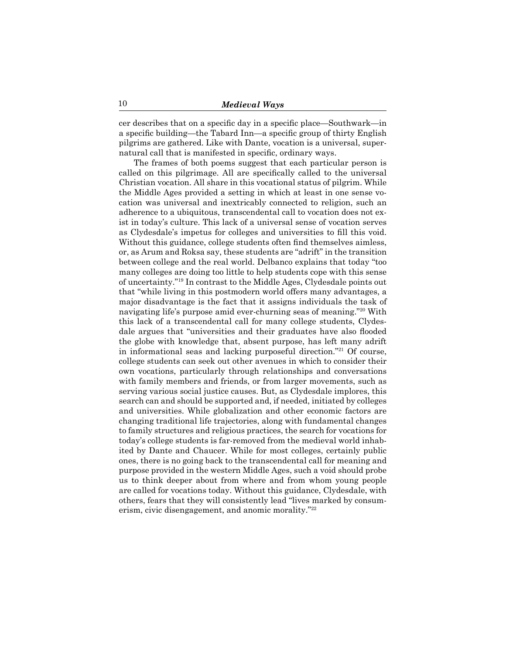cer describes that on a specific day in a specific place—Southwark—in a specific building—the Tabard Inn—a specific group of thirty English pilgrims are gathered. Like with Dante, vocation is a universal, supernatural call that is manifested in specific, ordinary ways.

The frames of both poems suggest that each particular person is called on this pilgrimage. All are specifically called to the universal Christian vocation. All share in this vocational status of pilgrim. While the Middle Ages provided a setting in which at least in one sense vocation was universal and inextricably connected to religion, such an adherence to a ubiquitous, transcendental call to vocation does not exist in today's culture. This lack of a universal sense of vocation serves as Clydesdale's impetus for colleges and universities to fill this void. Without this guidance, college students often find themselves aimless, or, as Arum and Roksa say, these students are "adrift" in the transition between college and the real world. Delbanco explains that today "too many colleges are doing too little to help students cope with this sense of uncertainty."19 In contrast to the Middle Ages, Clydesdale points out that "while living in this postmodern world offers many advantages, a major disadvantage is the fact that it assigns individuals the task of navigating life's purpose amid ever-churning seas of meaning."20 With this lack of a transcendental call for many college students, Clydesdale argues that "universities and their graduates have also flooded the globe with knowledge that, absent purpose, has left many adrift in informational seas and lacking purposeful direction."21 Of course, college students can seek out other avenues in which to consider their own vocations, particularly through relationships and conversations with family members and friends, or from larger movements, such as serving various social justice causes. But, as Clydesdale implores, this search can and should be supported and, if needed, initiated by colleges and universities. While globalization and other economic factors are changing traditional life trajectories, along with fundamental changes to family structures and religious practices, the search for vocations for today's college students is far-removed from the medieval world inhabited by Dante and Chaucer. While for most colleges, certainly public ones, there is no going back to the transcendental call for meaning and purpose provided in the western Middle Ages, such a void should probe us to think deeper about from where and from whom young people are called for vocations today. Without this guidance, Clydesdale, with others, fears that they will consistently lead "lives marked by consumerism, civic disengagement, and anomic morality."22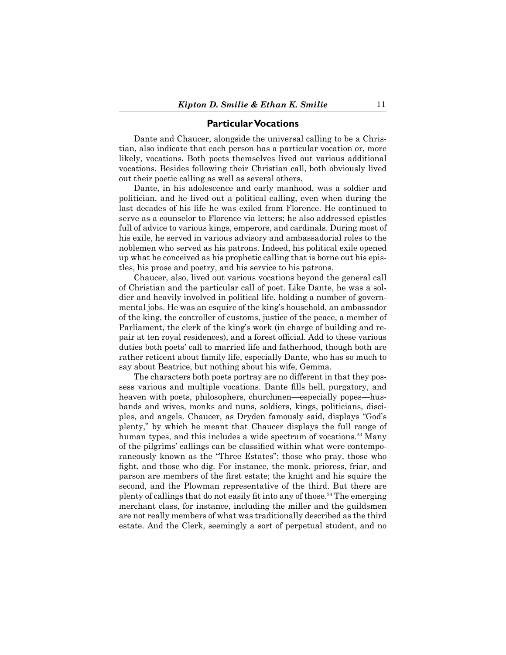### **Particular Vocations**

Dante and Chaucer, alongside the universal calling to be a Christian, also indicate that each person has a particular vocation or, more likely, vocations. Both poets themselves lived out various additional vocations. Besides following their Christian call, both obviously lived out their poetic calling as well as several others.

Dante, in his adolescence and early manhood, was a soldier and politician, and he lived out a political calling, even when during the last decades of his life he was exiled from Florence. He continued to serve as a counselor to Florence via letters; he also addressed epistles full of advice to various kings, emperors, and cardinals. During most of his exile, he served in various advisory and ambassadorial roles to the noblemen who served as his patrons. Indeed, his political exile opened up what he conceived as his prophetic calling that is borne out his epistles, his prose and poetry, and his service to his patrons.

Chaucer, also, lived out various vocations beyond the general call of Christian and the particular call of poet. Like Dante, he was a soldier and heavily involved in political life, holding a number of governmental jobs. He was an esquire of the king's household, an ambassador of the king, the controller of customs, justice of the peace, a member of Parliament, the clerk of the king's work (in charge of building and repair at ten royal residences), and a forest official. Add to these various duties both poets' call to married life and fatherhood, though both are rather reticent about family life, especially Dante, who has so much to say about Beatrice, but nothing about his wife, Gemma.

The characters both poets portray are no different in that they possess various and multiple vocations. Dante fills hell, purgatory, and heaven with poets, philosophers, churchmen—especially popes—husbands and wives, monks and nuns, soldiers, kings, politicians, disciples, and angels. Chaucer, as Dryden famously said, displays "God's plenty," by which he meant that Chaucer displays the full range of human types, and this includes a wide spectrum of vocations.<sup>23</sup> Many of the pilgrims' callings can be classified within what were contemporaneously known as the "Three Estates": those who pray, those who fight, and those who dig. For instance, the monk, prioress, friar, and parson are members of the first estate; the knight and his squire the second, and the Plowman representative of the third. But there are plenty of callings that do not easily fit into any of those.<sup>24</sup> The emerging merchant class, for instance, including the miller and the guildsmen are not really members of what was traditionally described as the third estate. And the Clerk, seemingly a sort of perpetual student, and no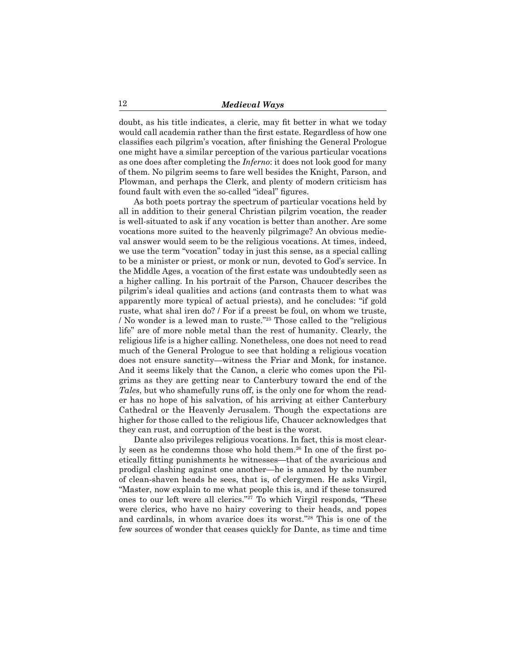doubt, as his title indicates, a cleric, may fit better in what we today would call academia rather than the first estate. Regardless of how one classifies each pilgrim's vocation, after finishing the General Prologue one might have a similar perception of the various particular vocations as one does after completing the *Inferno*: it does not look good for many of them. No pilgrim seems to fare well besides the Knight, Parson, and Plowman, and perhaps the Clerk, and plenty of modern criticism has found fault with even the so-called "ideal" figures.

As both poets portray the spectrum of particular vocations held by all in addition to their general Christian pilgrim vocation, the reader is well-situated to ask if any vocation is better than another. Are some vocations more suited to the heavenly pilgrimage? An obvious medieval answer would seem to be the religious vocations. At times, indeed, we use the term "vocation" today in just this sense, as a special calling to be a minister or priest, or monk or nun, devoted to God's service. In the Middle Ages, a vocation of the first estate was undoubtedly seen as a higher calling. In his portrait of the Parson, Chaucer describes the pilgrim's ideal qualities and actions (and contrasts them to what was apparently more typical of actual priests), and he concludes: "if gold ruste, what shal iren do? / For if a preest be foul, on whom we truste, / No wonder is a lewed man to ruste."25 Those called to the "religious life" are of more noble metal than the rest of humanity. Clearly, the religious life is a higher calling. Nonetheless, one does not need to read much of the General Prologue to see that holding a religious vocation does not ensure sanctity—witness the Friar and Monk, for instance. And it seems likely that the Canon, a cleric who comes upon the Pilgrims as they are getting near to Canterbury toward the end of the *Tales*, but who shamefully runs off, is the only one for whom the reader has no hope of his salvation, of his arriving at either Canterbury Cathedral or the Heavenly Jerusalem. Though the expectations are higher for those called to the religious life, Chaucer acknowledges that they can rust, and corruption of the best is the worst.

Dante also privileges religious vocations. In fact, this is most clearly seen as he condemns those who hold them.26 In one of the first poetically fitting punishments he witnesses—that of the avaricious and prodigal clashing against one another—he is amazed by the number of clean-shaven heads he sees, that is, of clergymen. He asks Virgil, "Master, now explain to me what people this is, and if these tonsured ones to our left were all clerics."27 To which Virgil responds, "These were clerics, who have no hairy covering to their heads, and popes and cardinals, in whom avarice does its worst."28 This is one of the few sources of wonder that ceases quickly for Dante, as time and time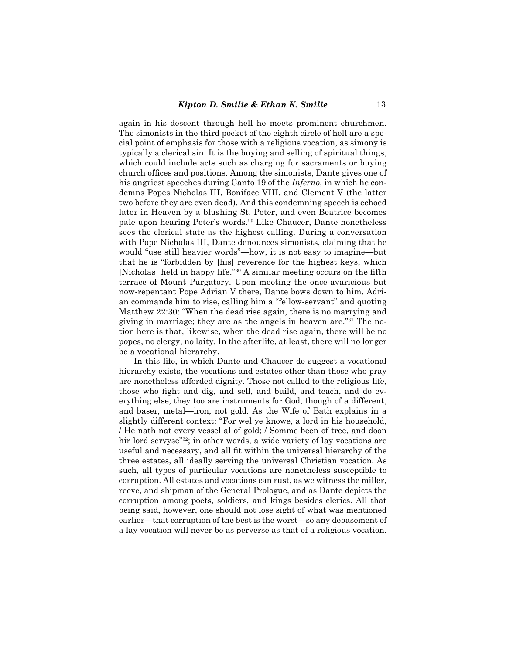again in his descent through hell he meets prominent churchmen. The simonists in the third pocket of the eighth circle of hell are a special point of emphasis for those with a religious vocation, as simony is typically a clerical sin. It is the buying and selling of spiritual things, which could include acts such as charging for sacraments or buying church offices and positions. Among the simonists, Dante gives one of his angriest speeches during Canto 19 of the *Inferno*, in which he condemns Popes Nicholas III, Boniface VIII, and Clement V (the latter two before they are even dead). And this condemning speech is echoed later in Heaven by a blushing St. Peter, and even Beatrice becomes pale upon hearing Peter's words.29 Like Chaucer, Dante nonetheless sees the clerical state as the highest calling. During a conversation with Pope Nicholas III, Dante denounces simonists, claiming that he would "use still heavier words"—how, it is not easy to imagine—but that he is "forbidden by [his] reverence for the highest keys, which [Nicholas] held in happy life."<sup>30</sup> A similar meeting occurs on the fifth terrace of Mount Purgatory. Upon meeting the once-avaricious but now-repentant Pope Adrian V there, Dante bows down to him. Adrian commands him to rise, calling him a "fellow-servant" and quoting Matthew 22:30: "When the dead rise again, there is no marrying and giving in marriage; they are as the angels in heaven are."<sup>31</sup> The notion here is that, likewise, when the dead rise again, there will be no popes, no clergy, no laity. In the afterlife, at least, there will no longer be a vocational hierarchy.

In this life, in which Dante and Chaucer do suggest a vocational hierarchy exists, the vocations and estates other than those who pray are nonetheless afforded dignity. Those not called to the religious life, those who fight and dig, and sell, and build, and teach, and do everything else, they too are instruments for God, though of a different, and baser, metal—iron, not gold. As the Wife of Bath explains in a slightly different context: "For wel ye knowe, a lord in his household, / He nath nat every vessel al of gold; / Somme been of tree, and doon hir lord servyse"32; in other words, a wide variety of lay vocations are useful and necessary, and all fit within the universal hierarchy of the three estates, all ideally serving the universal Christian vocation. As such, all types of particular vocations are nonetheless susceptible to corruption. All estates and vocations can rust, as we witness the miller, reeve, and shipman of the General Prologue, and as Dante depicts the corruption among poets, soldiers, and kings besides clerics. All that being said, however, one should not lose sight of what was mentioned earlier—that corruption of the best is the worst—so any debasement of a lay vocation will never be as perverse as that of a religious vocation.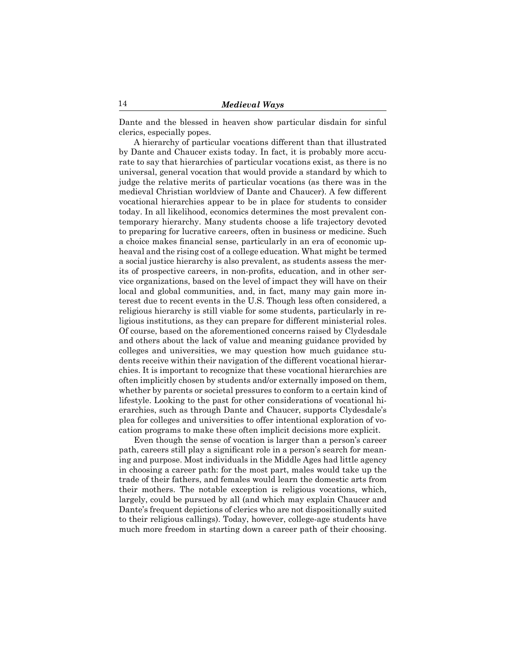Dante and the blessed in heaven show particular disdain for sinful clerics, especially popes.

A hierarchy of particular vocations different than that illustrated by Dante and Chaucer exists today. In fact, it is probably more accurate to say that hierarchies of particular vocations exist, as there is no universal, general vocation that would provide a standard by which to judge the relative merits of particular vocations (as there was in the medieval Christian worldview of Dante and Chaucer). A few different vocational hierarchies appear to be in place for students to consider today. In all likelihood, economics determines the most prevalent contemporary hierarchy. Many students choose a life trajectory devoted to preparing for lucrative careers, often in business or medicine. Such a choice makes financial sense, particularly in an era of economic upheaval and the rising cost of a college education. What might be termed a social justice hierarchy is also prevalent, as students assess the merits of prospective careers, in non-profits, education, and in other service organizations, based on the level of impact they will have on their local and global communities, and, in fact, many may gain more interest due to recent events in the U.S. Though less often considered, a religious hierarchy is still viable for some students, particularly in religious institutions, as they can prepare for different ministerial roles. Of course, based on the aforementioned concerns raised by Clydesdale and others about the lack of value and meaning guidance provided by colleges and universities, we may question how much guidance students receive within their navigation of the different vocational hierarchies. It is important to recognize that these vocational hierarchies are often implicitly chosen by students and/or externally imposed on them, whether by parents or societal pressures to conform to a certain kind of lifestyle. Looking to the past for other considerations of vocational hierarchies, such as through Dante and Chaucer, supports Clydesdale's plea for colleges and universities to offer intentional exploration of vocation programs to make these often implicit decisions more explicit.

Even though the sense of vocation is larger than a person's career path, careers still play a significant role in a person's search for meaning and purpose. Most individuals in the Middle Ages had little agency in choosing a career path: for the most part, males would take up the trade of their fathers, and females would learn the domestic arts from their mothers. The notable exception is religious vocations, which, largely, could be pursued by all (and which may explain Chaucer and Dante's frequent depictions of clerics who are not dispositionally suited to their religious callings). Today, however, college-age students have much more freedom in starting down a career path of their choosing.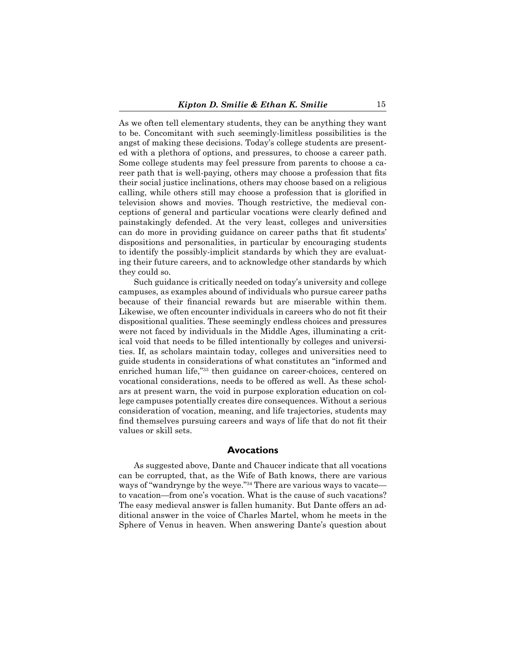As we often tell elementary students, they can be anything they want to be. Concomitant with such seemingly-limitless possibilities is the angst of making these decisions. Today's college students are presented with a plethora of options, and pressures, to choose a career path. Some college students may feel pressure from parents to choose a career path that is well-paying, others may choose a profession that fits their social justice inclinations, others may choose based on a religious calling, while others still may choose a profession that is glorified in television shows and movies. Though restrictive, the medieval conceptions of general and particular vocations were clearly defined and painstakingly defended. At the very least, colleges and universities can do more in providing guidance on career paths that fit students' dispositions and personalities, in particular by encouraging students to identify the possibly-implicit standards by which they are evaluating their future careers, and to acknowledge other standards by which they could so.

Such guidance is critically needed on today's university and college campuses, as examples abound of individuals who pursue career paths because of their financial rewards but are miserable within them. Likewise, we often encounter individuals in careers who do not fit their dispositional qualities. These seemingly endless choices and pressures were not faced by individuals in the Middle Ages, illuminating a critical void that needs to be filled intentionally by colleges and universities. If, as scholars maintain today, colleges and universities need to guide students in considerations of what constitutes an "informed and enriched human life,"<sup>33</sup> then guidance on career-choices, centered on vocational considerations, needs to be offered as well. As these scholars at present warn, the void in purpose exploration education on college campuses potentially creates dire consequences. Without a serious consideration of vocation, meaning, and life trajectories, students may find themselves pursuing careers and ways of life that do not fit their values or skill sets.

## **Avocations**

As suggested above, Dante and Chaucer indicate that all vocations can be corrupted, that, as the Wife of Bath knows, there are various ways of "wandrynge by the weye."<sup>34</sup> There are various ways to vacate to vacation—from one's vocation. What is the cause of such vacations? The easy medieval answer is fallen humanity. But Dante offers an additional answer in the voice of Charles Martel, whom he meets in the Sphere of Venus in heaven. When answering Dante's question about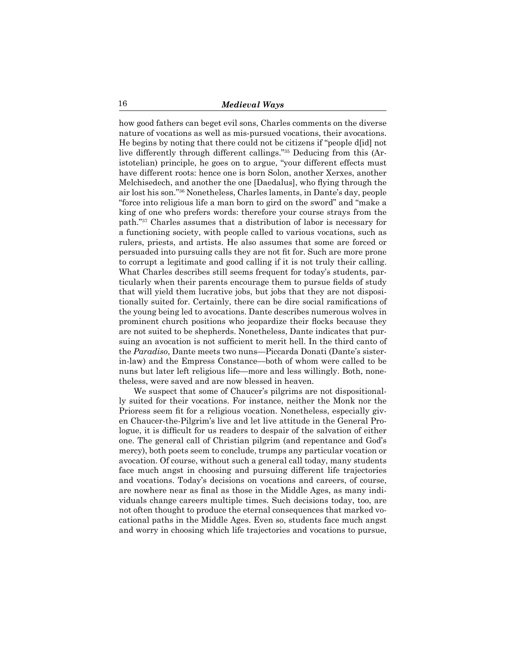how good fathers can beget evil sons, Charles comments on the diverse nature of vocations as well as mis-pursued vocations, their avocations. He begins by noting that there could not be citizens if "people d[id] not live differently through different callings."35 Deducing from this (Aristotelian) principle, he goes on to argue, "your different effects must have different roots: hence one is born Solon, another Xerxes, another Melchisedech, and another the one [Daedalus], who flying through the air lost his son."36 Nonetheless, Charles laments, in Dante's day, people "force into religious life a man born to gird on the sword" and "make a king of one who prefers words: therefore your course strays from the path."<sup>37</sup> Charles assumes that a distribution of labor is necessary for a functioning society, with people called to various vocations, such as rulers, priests, and artists. He also assumes that some are forced or persuaded into pursuing calls they are not fit for. Such are more prone to corrupt a legitimate and good calling if it is not truly their calling. What Charles describes still seems frequent for today's students, particularly when their parents encourage them to pursue fields of study that will yield them lucrative jobs, but jobs that they are not dispositionally suited for. Certainly, there can be dire social ramifications of the young being led to avocations. Dante describes numerous wolves in prominent church positions who jeopardize their flocks because they are not suited to be shepherds. Nonetheless, Dante indicates that pursuing an avocation is not sufficient to merit hell. In the third canto of the *Paradiso*, Dante meets two nuns—Piccarda Donati (Dante's sisterin-law) and the Empress Constance—both of whom were called to be nuns but later left religious life—more and less willingly. Both, nonetheless, were saved and are now blessed in heaven.

We suspect that some of Chaucer's pilgrims are not dispositionally suited for their vocations. For instance, neither the Monk nor the Prioress seem fit for a religious vocation. Nonetheless, especially given Chaucer-the-Pilgrim's live and let live attitude in the General Prologue, it is difficult for us readers to despair of the salvation of either one. The general call of Christian pilgrim (and repentance and God's mercy), both poets seem to conclude, trumps any particular vocation or avocation. Of course, without such a general call today, many students face much angst in choosing and pursuing different life trajectories and vocations. Today's decisions on vocations and careers, of course, are nowhere near as final as those in the Middle Ages, as many individuals change careers multiple times. Such decisions today, too, are not often thought to produce the eternal consequences that marked vocational paths in the Middle Ages. Even so, students face much angst and worry in choosing which life trajectories and vocations to pursue,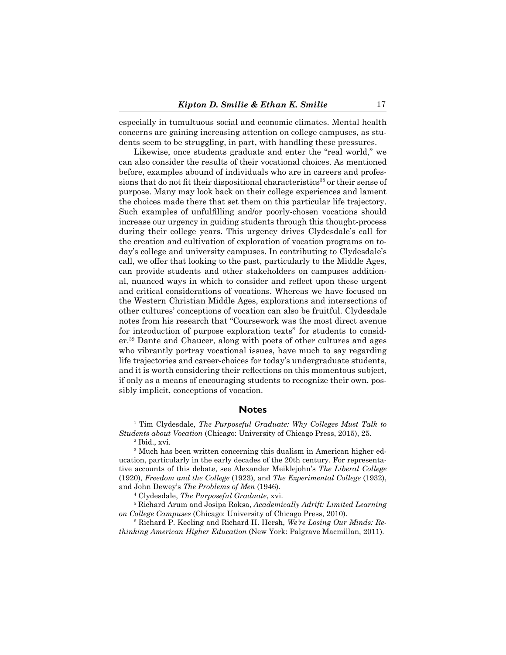especially in tumultuous social and economic climates. Mental health concerns are gaining increasing attention on college campuses, as students seem to be struggling, in part, with handling these pressures.

Likewise, once students graduate and enter the "real world," we can also consider the results of their vocational choices. As mentioned before, examples abound of individuals who are in careers and professions that do not fit their dispositional characteristics<sup>38</sup> or their sense of purpose. Many may look back on their college experiences and lament the choices made there that set them on this particular life trajectory. Such examples of unfulfilling and/or poorly-chosen vocations should increase our urgency in guiding students through this thought-process during their college years. This urgency drives Clydesdale's call for the creation and cultivation of exploration of vocation programs on today's college and university campuses. In contributing to Clydesdale's call, we offer that looking to the past, particularly to the Middle Ages, can provide students and other stakeholders on campuses additional, nuanced ways in which to consider and reflect upon these urgent and critical considerations of vocations. Whereas we have focused on the Western Christian Middle Ages, explorations and intersections of other cultures' conceptions of vocation can also be fruitful. Clydesdale notes from his research that "Coursework was the most direct avenue for introduction of purpose exploration texts" for students to consider.39 Dante and Chaucer, along with poets of other cultures and ages who vibrantly portray vocational issues, have much to say regarding life trajectories and career-choices for today's undergraduate students, and it is worth considering their reflections on this momentous subject, if only as a means of encouraging students to recognize their own, possibly implicit, conceptions of vocation.

#### **Notes**

<sup>1</sup> Tim Clydesdale, *The Purposeful Graduate: Why Colleges Must Talk to Students about Vocation* (Chicago: University of Chicago Press, 2015), 25.

2 Ibid., xvi.

<sup>3</sup> Much has been written concerning this dualism in American higher education, particularly in the early decades of the 20th century. For representative accounts of this debate, see Alexander Meiklejohn's *The Liberal College* (1920), *Freedom and the College* (1923), and *The Experimental College* (1932), and John Dewey's *The Problems of Men* (1946).

4 Clydesdale, *The Purposeful Graduate*, xvi.

5 Richard Arum and Josipa Roksa, *Academically Adrift: Limited Learning on College Campuses* (Chicago: University of Chicago Press, 2010).

6 Richard P. Keeling and Richard H. Hersh, *We're Losing Our Minds: Rethinking American Higher Education* (New York: Palgrave Macmillan, 2011).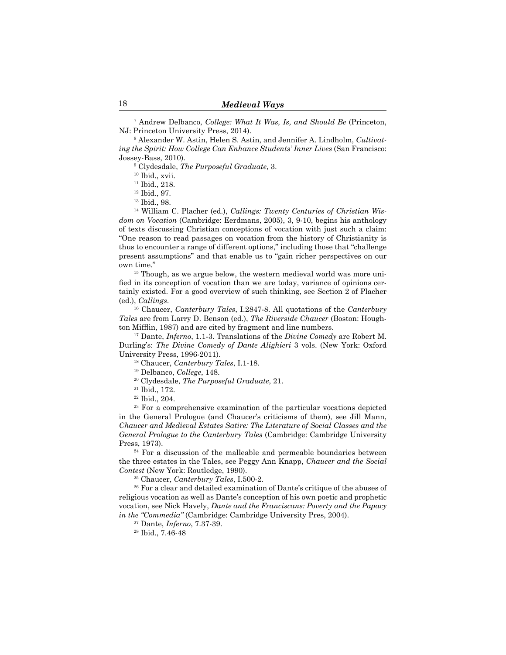7 Andrew Delbanco, *College: What It Was, Is, and Should Be* (Princeton, NJ: Princeton University Press, 2014).

8 Alexander W. Astin, Helen S. Astin, and Jennifer A. Lindholm, *Cultivating the Spirit: How College Can Enhance Students' Inner Lives* (San Francisco: Jossey-Bass, 2010).

9 Clydesdale, *The Purposeful Graduate*, 3.

<sup>10</sup> Ibid., xvii.

11 Ibid., 218.

12 Ibid., 97.

13 Ibid., 98.

14 William C. Placher (ed.), *Callings: Twenty Centuries of Christian Wisdom on Vocation* (Cambridge: Eerdmans, 2005), 3, 9-10, begins his anthology of texts discussing Christian conceptions of vocation with just such a claim: "One reason to read passages on vocation from the history of Christianity is thus to encounter a range of different options," including those that "challenge present assumptions" and that enable us to "gain richer perspectives on our own time."

<sup>15</sup> Though, as we argue below, the western medieval world was more unified in its conception of vocation than we are today, variance of opinions certainly existed. For a good overview of such thinking, see Section 2 of Placher (ed.), *Callings*.

16 Chaucer, *Canterbury Tales*, I.2847-8. All quotations of the *Canterbury Tales* are from Larry D. Benson (ed.), *The Riverside Chaucer* (Boston: Houghton Mifflin, 1987) and are cited by fragment and line numbers.

17 Dante, *Inferno*, 1.1-3. Translations of the *Divine Comedy* are Robert M. Durling's: *The Divine Comedy of Dante Alighieri* 3 vols. (New York: Oxford University Press, 1996-2011).

18 Chaucer, *Canterbury Tales*, I.1-18.

19 Delbanco, *College*, 148.

<sup>20</sup> Clydesdale, *The Purposeful Graduate*, 21.

21 Ibid., 172.

22 Ibid., 204.

<sup>23</sup> For a comprehensive examination of the particular vocations depicted in the General Prologue (and Chaucer's criticisms of them), see Jill Mann, *Chaucer and Medieval Estates Satire: The Literature of Social Classes and the General Prologue to the Canterbury Tales* (Cambridge: Cambridge University Press, 1973).

<sup>24</sup> For a discussion of the malleable and permeable boundaries between the three estates in the Tales, see Peggy Ann Knapp, *Chaucer and the Social Contest* (New York: Routledge, 1990).

25 Chaucer, *Canterbury Tales*, I.500-2.

<sup>26</sup> For a clear and detailed examination of Dante's critique of the abuses of religious vocation as well as Dante's conception of his own poetic and prophetic vocation, see Nick Havely, *Dante and the Franciscans: Poverty and the Papacy in the "Commedia"* (Cambridge: Cambridge University Pres, 2004).

<sup>27</sup> Dante, *Inferno*, 7.37-39.

28 Ibid., 7.46-48